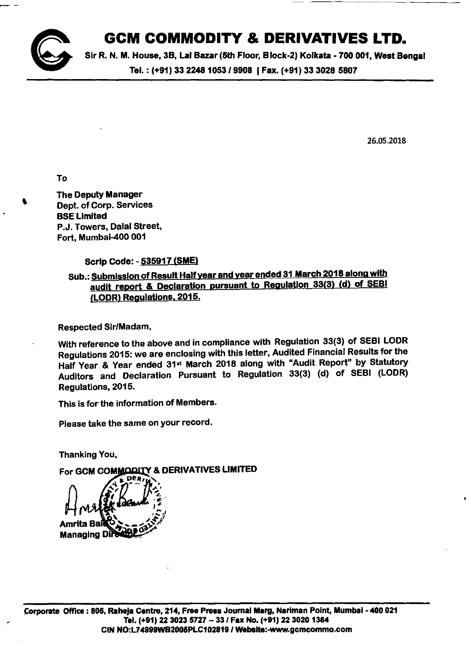## **GCM COMMODITY & DERIVATIVES LTD.**



Sir R. N. M. House, 3B, Lal Bazar (5th Floor, Block-2) Kolkata - 700 001, West Bengal Tel.: (+91) 33 2248 1053 / 9908 | Fax. (+91) 33 3028 5807

26.05.2018

To

,

The Deputy Manager Dept. of Corp. Services BSELlmlted P.J. Towers, Dalal Street, Fort, Mumbai-400 001

Scrip Code: - 535917 (SME)

Sub.: Submission of Result Half year and year ended 31 March 2018 along with audit report & Declaration pursuant to Regulation 33(3) (d) of SEBI (lODR) Regulations. 2015.

Respected Sir/Madam,

With reference to the above and in compliance with Regulation 33(3) of SEBI LODR Regulations 2015: we are enclosing with this letter, Audited Financial Results for the Half Year & Year ended 31·t March 2018 along with "Audit Report" by Statutory Auditors and Declaration Pursuant to Regulation 33(3) (d) of SEBI (lODR) Regulations, 2015.

This is for the information of Members.

Please take the same on your record.

Thanking You,

For GCM COMMODITY & DERIVATIVES LIMITED

**Managing**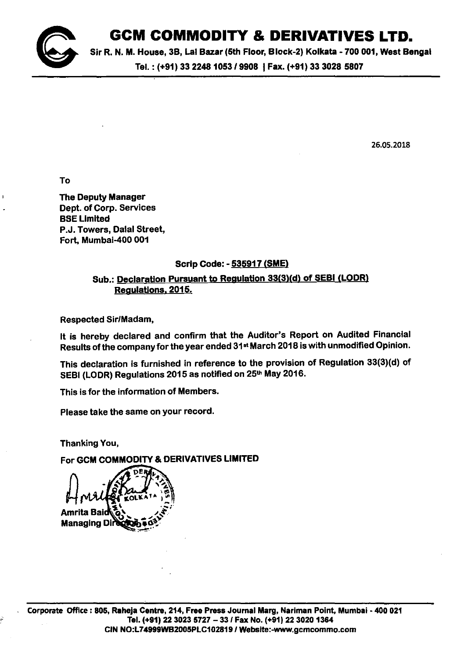

## **GCM COMMODITY & DERIVATIVES LTD.**

Sir R. N. M. House, 3B, Lal Bazar (5th Floor, Block-2) Kolkata - 700 001, West Bengal

Tel. : (+91) <sup>33</sup> *22481053/9908* IFax. (+91) <sup>33</sup> <sup>30285807</sup>

26.05.2018

To

The Deputy Manager Dept. of Corp. Services **BSE Limited** P.J. Towers, Dalal Street, Fort, Mumbai-400 001

#### Scrip Code: - 535917 (SME)

### Sub.: Declaration Pursuant to Regulation 33(3)(d) of SEBI (LODR) Regulations. 2015.

Respected Sir/Madam,

It is hereby declared and confirm that the Auditor's Report on Audited Financial Results of the company for the year ended 31st March 2018 is with unmodified Opinion.

This declaration is furnished in reference to the provision of Regulation 33(3)(d) of SEBI (LODR) Regulations 2015 as notified on 25<sup>th</sup> May 2016.

This is for the information of Members.

Please take the same on your record.

Thanking You,

For GCM COMMODITY & DERIVATIVES LIMITED

**Managing D**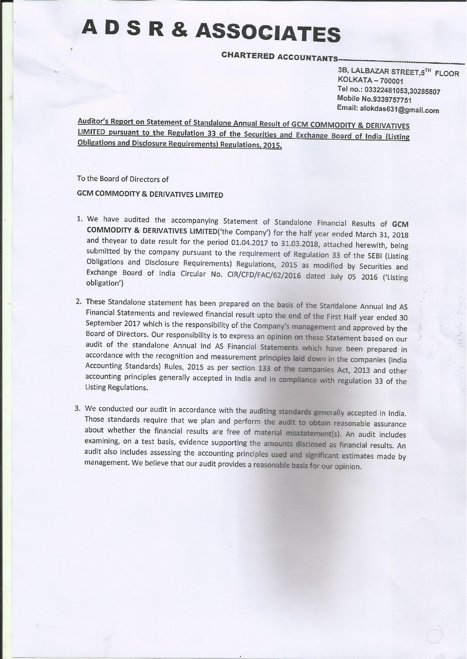# **ADSR&ASSOCIATES**

**CHARTERED ACCOUNTANTS-**

3B, LALBAZAR STREET,5TH FLOOR **KOLKATA - 700001** Tel no.: 03322481053,30285807 Mobile No.9339757751 Email: alokdas631@gmail.com

Auditor's Report on Statement of Standalone Annual Result of GCM COMMODITY & DERIVATIVES LIMITED pursuant to the Regulation 33 of the Securities and Exchange Board of India (Listing **Obligations and Disclosure Requirements) Regulations, 2015.** 

To the Board of Directors of

**GCM COMMODITY & DERIVATIVES LIMITED** 

- 1. We have audited the accompanying Statement of Standalone Financial Results of GCM **COMMODITY & DERIVATIVES LIMITED**('the Company') for the half year ended March 31, 2018 and theyear to date result for the period 01.04.2017 to 31.03.2018, attached herewith, being submitted by the company pursuant to the requirement of Regulation 33 of the SEBI (Listing Obligations and Disclosure Requirements) Regulations, 2015 as modified by Securities and Exchange Board of India Circular No. CIR/CFD/FAC/62/2016 dated July 05 2016 ('Listing obligation')
- 2. These Standalone statement has been prepared on the basis of the Standalone Annual Ind AS Financial Statements and reviewed financial result upto the end of the First Half year ended 30 September 2017 which is the responsibility of the Company's management and approved by the Board of Directors. Our responsibility is to express an opinion on these Statement based on our audit of the standalone Annual Ind AS Financial Statements which have been prepared in accordance with the recognition and measurement principles laid down in the companies (India Accounting Standards) Rules, 2015 as per section 133 of the companies Act, 2013 and other accounting principles generally accepted in India and in compliance with regulation 33 of the Listing Regulations.
- 3. We conducted our audit in accordance with the auditing standards generally accepted in India. Those standards require that we plan and perform the audit to obtain reasonable assurance about whether the financial results are free of material misstatement(s). An audit includes examining, on a test basis, evidence supporting the amounts disclosed as financial results. An audit also includes assessing the accounting principles used and significant estimates made by management. We believe that our audit provides a reasonable basis for our opinion.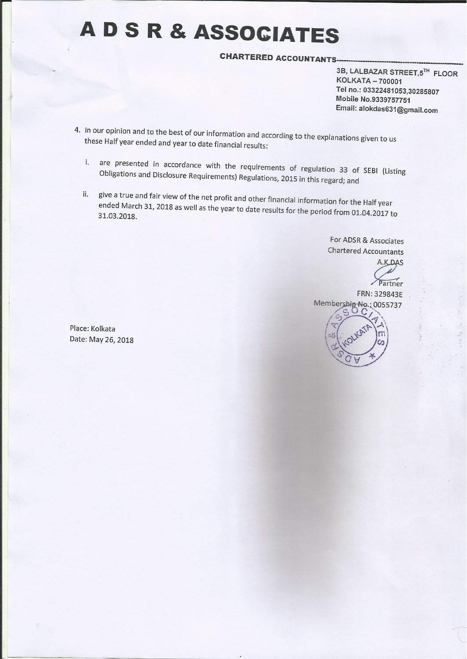# A D S R & ASSOCIATES

**CHARTERED ACCOUNTANTS** 

3B, LALBAZAR STREET,5TH FLOOR **KOLKATA - 700001** Tel no.: 03322481053,30285807 Mobile No.9339757751 Email: alokdas631@gmail.com

- 4. In our opinion and to the best of our information and according to the explanations given to us these Half year ended and year to date financial results:
	- are presented in accordance with the requirements of regulation 33 of SEBI (Listing  $i$ . Obligations and Disclosure Requirements) Regulations, 2015 in this regard; and
	- give a true and fair view of the net profit and other financial information for the Half year ii. ended March 31, 2018 as well as the year to date results for the period from 01.04.2017 to 31.03.2018.

For ADSR & Associates **Chartered Accountants** 

A.K.DAS Partner FRN: 329843E Membership-No.: 0055737

Place: Kolkata Date: May 26, 2018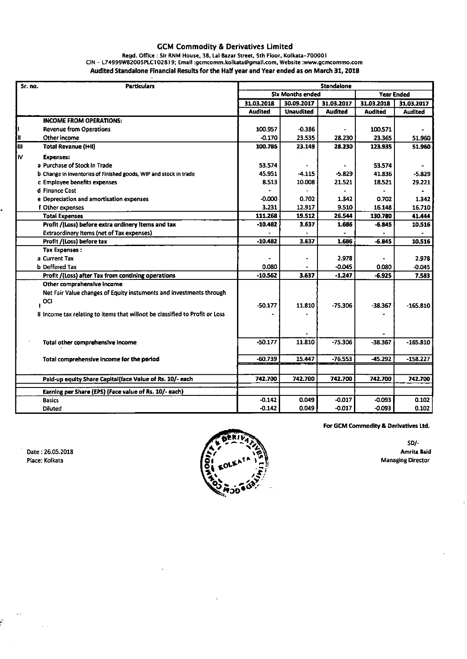#### GCM Commodity & Derivatives Limited

#### **Regd. Office: Sir RNM House. 3B. Lal Bazar Street. 5th Floor. Kolkata-700001 CIN - L74999WB200SPlCI 02819; Email [:gcmcomm.kolkata@gmail.com.](mailto::gcmcomm.kolkata@gmail.com.) Website [:www.gcmcommo.com](http://:www.gcmcommo.com)** Audited Standalone Financial Results for the Half year and Year ended as on March 31, 2018

| Sr. no. | <b>Particulars</b>                                                           | <b>Standalone</b>       |                  |                |                   |                |
|---------|------------------------------------------------------------------------------|-------------------------|------------------|----------------|-------------------|----------------|
|         |                                                                              | <b>Six Months ended</b> |                  |                | <b>Year Ended</b> |                |
|         |                                                                              | 31.03.2018              | 30.09.2017       | 31.03.2017     | 31.03.2018        | 31.03.2017     |
|         |                                                                              | Audited                 | <b>Unaudited</b> | <b>Audited</b> | <b>Audited</b>    | <b>Audited</b> |
|         | <b>INCOME FROM OPERATIONS:</b>                                               |                         |                  |                |                   |                |
|         | <b>Revenue from Operations</b>                                               | 100.957                 | $-0.386$         |                | 100.571           |                |
| Iπ      | Other income                                                                 | $-0.170$                | 23.535           | 28.230         | 23.365            | 51.960         |
| h       | <b>Total Revanue (I+II)</b>                                                  | 100.786                 | 23.149           | 28.230         | 123.935           | 51.960         |
| Iv      | <b>Expenses:</b>                                                             |                         |                  |                |                   |                |
|         | a Purchase of Stock in Trade                                                 | 53.574                  |                  |                | 53.574            |                |
|         | b Change in inventories of Finished goods, WIP and stock in trade            | 45.951                  | $-4.115$         | -5.829         | 41.836            | $-5.829$       |
|         | c Employee benefits expenses                                                 | 8.513                   | 10.008           | 21.521         | 18.521            | 29.221         |
|         | d Finance Cost                                                               |                         |                  |                |                   |                |
|         | e Depreciation and amortisation expenses                                     | $-0.000$                | 0.702            | 1.342          | 0.702             | 1.342          |
|         | f Other expenses                                                             | 3.231                   | 12.917           | 9.510          | 16.148            | 16.710         |
|         | <b>Total Expenses</b>                                                        | 111.268                 | 19.512           | 26.544         | 130.780           | 41.444         |
|         | Profit /(Loss) before extra ordinery items and tax                           | $-10.482$               | 3.637            | 1.686          | $-6.845$          | 10.516         |
|         | <b>Extraordinery Items (net of Tax expenses)</b>                             |                         |                  |                |                   |                |
|         | Profit /(Loss) before tax                                                    | $-10.482$               | 3.637            | 1.686          | $-6.845$          | 10.516         |
|         | <b>Tax Expenses:</b>                                                         |                         |                  |                |                   |                |
|         | a Current Tax                                                                |                         |                  | 2.978          |                   | 2.978          |
|         | <b>b</b> Deffered Tax                                                        | 0.080                   |                  | $-0.045$       | 0.080             | $-0.045$       |
|         | Profit /(Loss) after Tax from contining operations                           | $-10.562$               | 3.637            | $-1.247$       | $-6.925$          | 7.583          |
|         | Other comprahensive income                                                   |                         |                  |                |                   |                |
|         | Net Fair Value changes of Equity instuments and investments through          |                         |                  |                |                   |                |
|         | OCI                                                                          | $-50.177$               | 11.810           | -75.306        | $-38.367$         | $-165.810$     |
|         | It Income tax relating to items that willnot be classified to Profit or Loss |                         |                  |                |                   |                |
|         |                                                                              |                         |                  |                |                   |                |
|         |                                                                              |                         |                  |                |                   |                |
|         |                                                                              |                         |                  |                |                   |                |
|         | Total other comprehensive income                                             | $-50.177$               | 11.810           | $-75.306$      | $-38.367$         | $-165.810$     |
|         |                                                                              | $-60.739$               | 15.447           | $-76.553$      |                   |                |
|         | Total comprehensive income for the period                                    |                         |                  |                | $-45.292$         | $-158.227$     |
|         |                                                                              |                         |                  |                |                   |                |
|         | Paid-up equity Share Capital(face Value of Rs. 10/- each                     | 742.700                 | 742.700          | 742.700        | 742.700           | 742.700        |
|         | Earning per Share (EPS) (Face value of Rs. 10/- each)                        |                         |                  |                |                   |                |
|         | <b>Basics</b>                                                                | $-0.142$                | 0.049            | $-0.017$       | $-0.093$          | 0.102          |
|         | <b>Diluted</b>                                                               | $-0.142$                | 0.049            | $-0.017$       | $-0.093$          | 0.102          |

Date: 26.05.2018 **Place: Kolkata**

Ŷ



**For GeM Commodity & Derivatives Ltd.**

50/- **Amrita Baid Managing Director**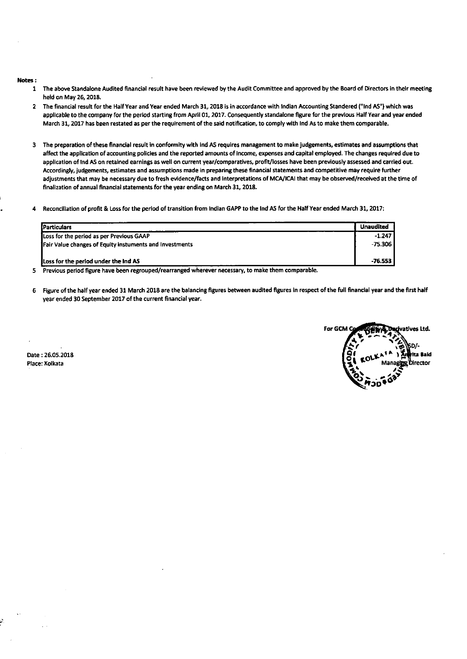#### Notes :

- 1 The above Standalone Audited financial result have been reviewed by the Audit Committee and approved by the Board of Directors in their meeting held on May 26, 2018.
- 2 The financial result for the Half Year and Year ended March 31, 2018 is in accordance with Indian Accounting Standered ("Ind AS") which was applicable to the company for the period starting from April 01, 2017. Consequently standalone figure for the previous Half Year and year ended March 31, 2017 has been restated as per the requirement of the said notification, to comply with Ind As to make them comparable.
- 3 The preparation of these financial result in conformity with Ind AS requires management to make judgements, estimates and assumptions that affect the application of accounting policies and the reported amounts of income, expenses and capital employed. The changes required due to application of Ind AS on retained earnings as well on current year/comparatives, profit/losses have been previously assessed and carried out. Accordingly, judgements, estimates and assumptions made in preparing these financial statements and competitive may require further adjustments that may be necessary due to fresh evidence/facts and interpretations of MCA/ICAI that may be observed/received at the time of finalization of annual financial statements for the year ending on March 31, 2018.
- 4 Reconciliation of profit & Loss for the period of transition from Indian GAPPta the Ind AS for the Half Year ended March 31, 2017:

| <b>IParticulars</b>                                             | <b>Unaudited</b> |
|-----------------------------------------------------------------|------------------|
| Loss for the period as per Previous GAAP                        | $-1.247$         |
| <b>IFair Value changes of Equity instuments and Investments</b> | -75.306          |
| Loss for the period under the Ind AS                            | $-76.553$        |

5 Previous period figure have been regrouped/rearranged wherever necessary, to make them comparable.

6 Figure of the half year ended 31 March 2018 are the balancing figures between audited figures in respect of the full financial year and the first half year ended 30 September 2017 of the current financial year.



Date: 26.05.2018 Place: Kolkata